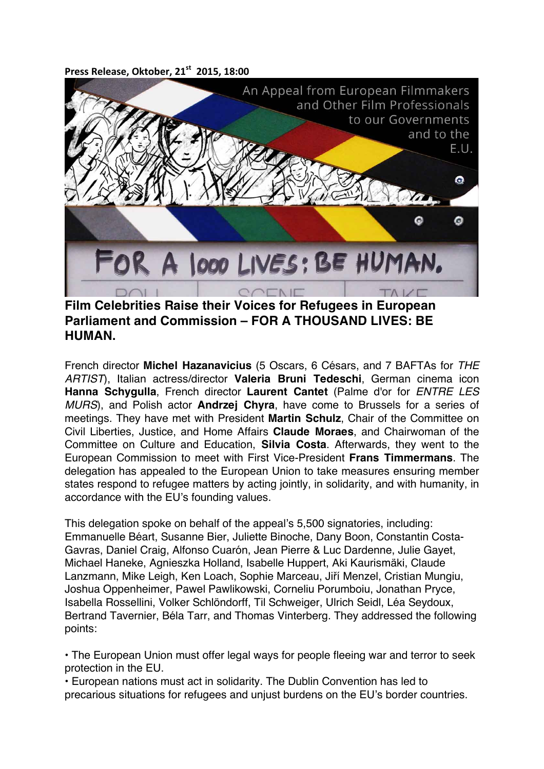Press Release, Oktober, 21<sup>st</sup> 2015, 18:00



## **Parliament and Commission – FOR A THOUSAND LIVES: BE HUMAN.**

French director **Michel Hazanavicius** (5 Oscars, 6 Césars, and 7 BAFTAs for *THE ARTIST*), Italian actress/director **Valeria Bruni Tedeschi**, German cinema icon **Hanna Schygulla**, French director **Laurent Cantet** (Palme d'or for *ENTRE LES MURS*), and Polish actor **Andrzej Chyra**, have come to Brussels for a series of meetings. They have met with President **Martin Schulz**, Chair of the Committee on Civil Liberties, Justice, and Home Affairs **Claude Moraes**, and Chairwoman of the Committee on Culture and Education, **Silvia Costa**. Afterwards, they went to the European Commission to meet with First Vice-President **Frans Timmermans**. The delegation has appealed to the European Union to take measures ensuring member states respond to refugee matters by acting jointly, in solidarity, and with humanity, in accordance with the EU's founding values.

This delegation spoke on behalf of the appeal's 5,500 signatories, including: Emmanuelle Béart, Susanne Bier, Juliette Binoche, Dany Boon, Constantin Costa-Gavras, Daniel Craig, Alfonso Cuarón, Jean Pierre & Luc Dardenne, Julie Gayet, Michael Haneke, Agnieszka Holland, Isabelle Huppert, Aki Kaurismäki, Claude Lanzmann, Mike Leigh, Ken Loach, Sophie Marceau, Jiří Menzel, Cristian Mungiu, Joshua Oppenheimer, Pawel Pawlikowski, Corneliu Porumboiu, Jonathan Pryce, Isabella Rossellini, Volker Schlöndorff, Til Schweiger, Ulrich Seidl, Léa Seydoux, Bertrand Tavernier, Béla Tarr, and Thomas Vinterberg. They addressed the following points:

• The European Union must offer legal ways for people fleeing war and terror to seek protection in the EU.

• European nations must act in solidarity. The Dublin Convention has led to precarious situations for refugees and unjust burdens on the EU's border countries.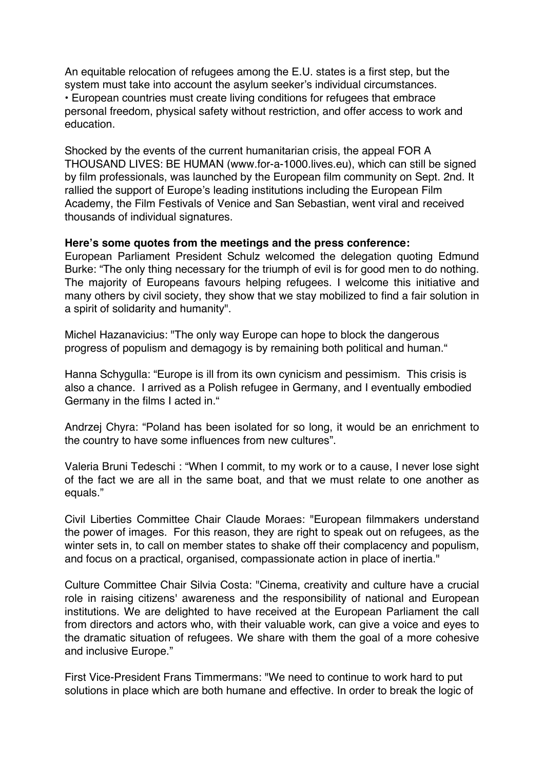An equitable relocation of refugees among the E.U. states is a first step, but the system must take into account the asylum seeker's individual circumstances. • European countries must create living conditions for refugees that embrace personal freedom, physical safety without restriction, and offer access to work and education.

Shocked by the events of the current humanitarian crisis, the appeal FOR A THOUSAND LIVES: BE HUMAN (www.for-a-1000.lives.eu), which can still be signed by film professionals, was launched by the European film community on Sept. 2nd. It rallied the support of Europe's leading institutions including the European Film Academy, the Film Festivals of Venice and San Sebastian, went viral and received thousands of individual signatures.

## **Here's some quotes from the meetings and the press conference:**

European Parliament President Schulz welcomed the delegation quoting Edmund Burke: "The only thing necessary for the triumph of evil is for good men to do nothing. The majority of Europeans favours helping refugees. I welcome this initiative and many others by civil society, they show that we stay mobilized to find a fair solution in a spirit of solidarity and humanity".

Michel Hazanavicius: "The only way Europe can hope to block the dangerous progress of populism and demagogy is by remaining both political and human."

Hanna Schygulla: "Europe is ill from its own cynicism and pessimism. This crisis is also a chance. I arrived as a Polish refugee in Germany, and I eventually embodied Germany in the films I acted in."

Andrzej Chyra: "Poland has been isolated for so long, it would be an enrichment to the country to have some influences from new cultures".

Valeria Bruni Tedeschi : "When I commit, to my work or to a cause, I never lose sight of the fact we are all in the same boat, and that we must relate to one another as equals."

Civil Liberties Committee Chair Claude Moraes: "European filmmakers understand the power of images. For this reason, they are right to speak out on refugees, as the winter sets in, to call on member states to shake off their complacency and populism, and focus on a practical, organised, compassionate action in place of inertia."

Culture Committee Chair Silvia Costa: "Cinema, creativity and culture have a crucial role in raising citizens' awareness and the responsibility of national and European institutions. We are delighted to have received at the European Parliament the call from directors and actors who, with their valuable work, can give a voice and eyes to the dramatic situation of refugees. We share with them the goal of a more cohesive and inclusive Europe."

First Vice-President Frans Timmermans: "We need to continue to work hard to put solutions in place which are both humane and effective. In order to break the logic of